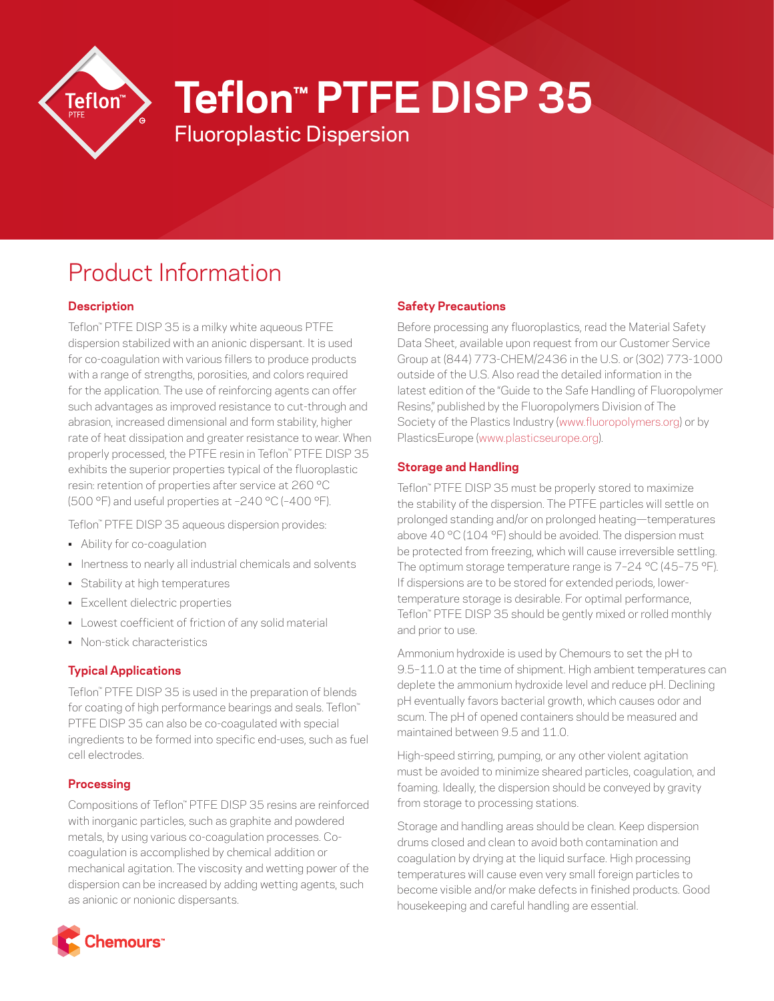

# **Teflon™ PTFE DISP 35**

Fluoroplastic Dispersion

# Product Information

# **Description**

Teflon™ PTFE DISP 35 is a milky white aqueous PTFE dispersion stabilized with an anionic dispersant. It is used for co-coagulation with various fillers to produce products with a range of strengths, porosities, and colors required for the application. The use of reinforcing agents can offer such advantages as improved resistance to cut-through and abrasion, increased dimensional and form stability, higher rate of heat dissipation and greater resistance to wear. When properly processed, the PTFE resin in Teflon™ PTFE DISP 35 exhibits the superior properties typical of the fluoroplastic resin: retention of properties after service at 260 °C (500 °F) and useful properties at –240 °C (–400 °F).

Teflon™ PTFE DISP 35 aqueous dispersion provides:

- Ability for co-coagulation
- Inertness to nearly all industrial chemicals and solvents
- Stability at high temperatures
- Excellent dielectric properties
- Lowest coefficient of friction of any solid material
- Non-stick characteristics

## **Typical Applications**

Teflon™ PTFE DISP 35 is used in the preparation of blends for coating of high performance bearings and seals. Teflon™ PTFE DISP 35 can also be co-coagulated with special ingredients to be formed into specific end-uses, such as fuel cell electrodes.

#### **Processing**

Compositions of Teflon™ PTFE DISP 35 resins are reinforced with inorganic particles, such as graphite and powdered metals, by using various co-coagulation processes. Cocoagulation is accomplished by chemical addition or mechanical agitation. The viscosity and wetting power of the dispersion can be increased by adding wetting agents, such as anionic or nonionic dispersants.

# **Chemours**"

### **Safety Precautions**

Before processing any fluoroplastics, read the Material Safety Data Sheet, available upon request from our Customer Service Group at (844) 773-CHEM/2436 in the U.S. or (302) 773-1000 outside of the U.S. Also read the detailed information in the latest edition of the "Guide to the Safe Handling of Fluoropolymer Resins," published by the Fluoropolymers Division of The Society of the Plastics Industry [\(www.fluoropolymers.org\)](http://www.fluoropolymers.org) or by PlasticsEurope ([www.plasticseurope.org\)](http://www.plasticseurope.org).

### **Storage and Handling**

Teflon™ PTFE DISP 35 must be properly stored to maximize the stability of the dispersion. The PTFE particles will settle on prolonged standing and/or on prolonged heating—temperatures above 40 °C (104 °F) should be avoided. The dispersion must be protected from freezing, which will cause irreversible settling. The optimum storage temperature range is 7–24 °C (45–75 °F). If dispersions are to be stored for extended periods, lowertemperature storage is desirable. For optimal performance, Teflon™ PTFE DISP 35 should be gently mixed or rolled monthly and prior to use.

Ammonium hydroxide is used by Chemours to set the pH to 9.5–11.0 at the time of shipment. High ambient temperatures can deplete the ammonium hydroxide level and reduce pH. Declining pH eventually favors bacterial growth, which causes odor and scum. The pH of opened containers should be measured and maintained between 9.5 and 11.0.

High-speed stirring, pumping, or any other violent agitation must be avoided to minimize sheared particles, coagulation, and foaming. Ideally, the dispersion should be conveyed by gravity from storage to processing stations.

Storage and handling areas should be clean. Keep dispersion drums closed and clean to avoid both contamination and coagulation by drying at the liquid surface. High processing temperatures will cause even very small foreign particles to become visible and/or make defects in finished products. Good housekeeping and careful handling are essential.